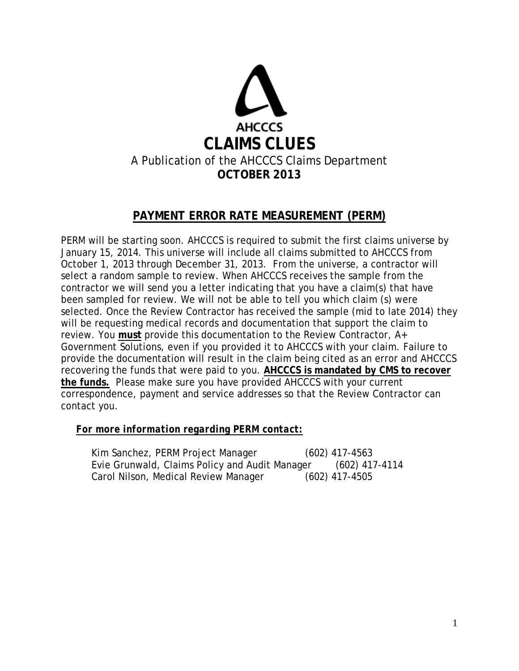

# **PAYMENT ERROR RATE MEASUREMENT (PERM)**

PERM will be starting soon. AHCCCS is required to submit the first claims universe by January 15, 2014. This universe will include all claims submitted to AHCCCS from October 1, 2013 through December 31, 2013. From the universe, a contractor will select a random sample to review. When AHCCCS receives the sample from the contractor we will send you a letter indicating that you have a claim(s) that have been sampled for review. We will not be able to tell you which claim (s) were selected. Once the Review Contractor has received the sample (mid to late 2014) they will be requesting medical records and documentation that support the claim to review. You **must** provide this documentation to the Review Contractor, A+ Government Solutions, even if you provided it to AHCCCS with your claim. Failure to provide the documentation will result in the claim being cited as an error and AHCCCS recovering the funds that were paid to you. **AHCCCS is mandated by CMS to recover the funds.** Please make sure you have provided AHCCCS with your current correspondence, payment and service addresses so that the Review Contractor can contact you.

## *For more information regarding PERM contact:*

Kim Sanchez, PERM Project Manager (602) 417-4563 Evie Grunwald, Claims Policy and Audit Manager (602) 417-4114 Carol Nilson, Medical Review Manager (602) 417-4505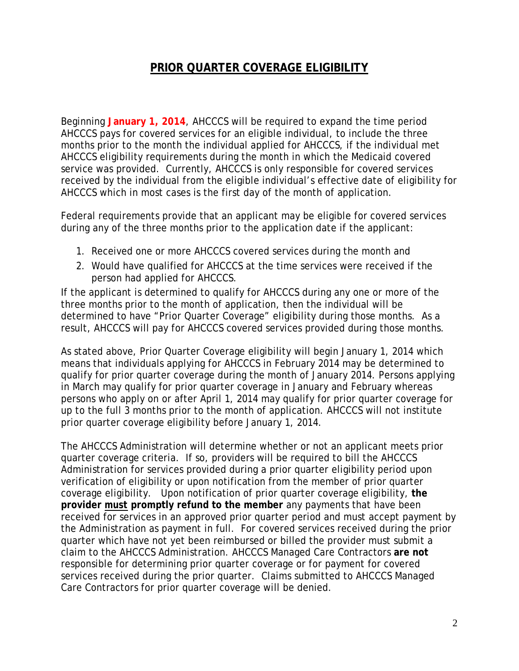## **PRIOR QUARTER COVERAGE ELIGIBILITY**

Beginning **January 1, 2014**, AHCCCS will be required to expand the time period AHCCCS pays for covered services for an eligible individual, to include the three months prior to the month the individual applied for AHCCCS, if the individual met AHCCCS eligibility requirements during the month in which the Medicaid covered service was provided. Currently, AHCCCS is only responsible for covered services received by the individual from the eligible individual's effective date of eligibility for AHCCCS which in most cases is the first day of the month of application.

Federal requirements provide that an applicant may be eligible for covered services during any of the three months prior to the application date if the applicant:

- 1. Received one or more AHCCCS covered services during the month and
- 2. Would have qualified for AHCCCS at the time services were received if the person had applied for AHCCCS.

If the applicant is determined to qualify for AHCCCS during any one or more of the three months prior to the month of application, then the individual will be determined to have "Prior Quarter Coverage" eligibility during those months. As a result, AHCCCS will pay for AHCCCS covered services provided during those months.

As stated above, Prior Quarter Coverage eligibility will begin January 1, 2014 which means that individuals applying for AHCCCS in February 2014 may be determined to qualify for prior quarter coverage during the month of January 2014. Persons applying in March may qualify for prior quarter coverage in January and February whereas persons who apply on or after April 1, 2014 may qualify for prior quarter coverage for up to the full 3 months prior to the month of application. AHCCCS will not institute prior quarter coverage eligibility before January 1, 2014.

The AHCCCS Administration will determine whether or not an applicant meets prior quarter coverage criteria. If so, providers will be required to bill the AHCCCS Administration for services provided during a prior quarter eligibility period upon verification of eligibility or upon notification from the member of prior quarter coverage eligibility. Upon notification of prior quarter coverage eligibility, **the provider** *must* **promptly refund to the member** any payments that have been received for services in an approved prior quarter period and must accept payment by the Administration as payment in full. For covered services received during the prior quarter which have not yet been reimbursed or billed the provider must submit a claim to the AHCCCS Administration. AHCCCS Managed Care Contractors **are not** responsible for determining prior quarter coverage or for payment for covered services received during the prior quarter. Claims submitted to AHCCCS Managed Care Contractors for prior quarter coverage will be denied.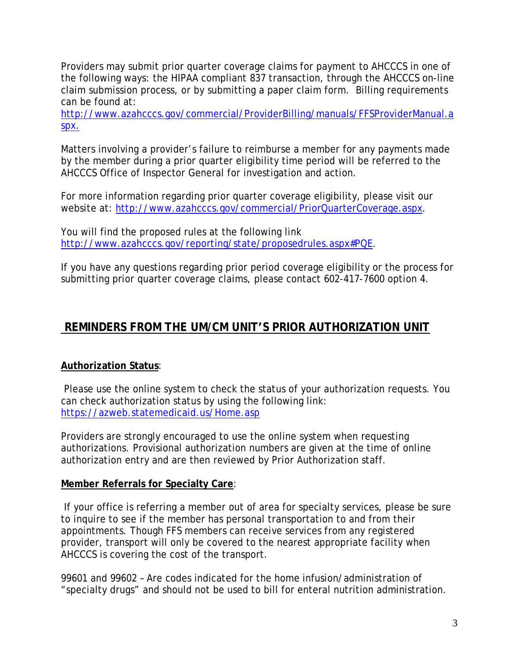Providers may submit prior quarter coverage claims for payment to AHCCCS in one of the following ways: the HIPAA compliant 837 transaction, through the AHCCCS on-line claim submission process, or by submitting a paper claim form. Billing requirements can be found at:

[http://www.azahcccs.gov/commercial/ProviderBilling/manuals/FFSProviderManual.a](http://www.azahcccs.gov/commercial/ProviderBilling/manuals/FFSProviderManual.aspx) [spx.](http://www.azahcccs.gov/commercial/ProviderBilling/manuals/FFSProviderManual.aspx)

Matters involving a provider's failure to reimburse a member for any payments made by the member during a prior quarter eligibility time period will be referred to the AHCCCS Office of Inspector General for investigation and action.

For more information regarding prior quarter coverage eligibility, please visit our website at: [http://www.azahcccs.gov/commercial/PriorQuarterCoverage.aspx.](http://www.azahcccs.gov/commercial/PriorQuarterCoverage.aspx)

You will find the proposed rules at the following link [http://www.azahcccs.gov/reporting/state/proposedrules.aspx#PQE.](http://www.azahcccs.gov/reporting/state/proposedrules.aspx#PQE)

If you have any questions regarding prior period coverage eligibility or the process for submitting prior quarter coverage claims, please contact 602-417-7600 option 4.

# **REMINDERS FROM THE UM/CM UNIT'S PRIOR AUTHORIZATION UNIT**

## **Authorization Status**:

Please use the online system to check the status of your authorization requests. You can check authorization status by using the following link: <https://azweb.statemedicaid.us/Home.asp>

Providers are strongly encouraged to use the online system when requesting authorizations. Provisional authorization numbers are given at the time of online authorization entry and are then reviewed by Prior Authorization staff.

## **Member Referrals for Specialty Care**:

If your office is referring a member out of area for specialty services, please be sure to inquire to see if the member has personal transportation to and from their appointments. Though FFS members can receive services from any registered provider, transport will only be covered to the nearest appropriate facility when AHCCCS is covering the cost of the transport.

99601 and 99602 – Are codes indicated for the home infusion/administration of "specialty drugs" and should not be used to bill for enteral nutrition administration.